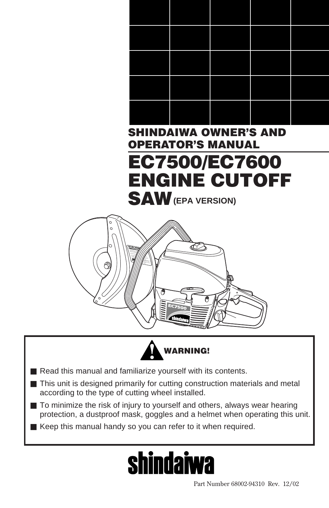

### **EC7500/EC7600 ENGINE CUTOFF SAW (EPA VERSION)**





- Read this manual and familiarize yourself with its contents.
- This unit is designed primarily for cutting construction materials and metal according to the type of cutting wheel installed.
- To minimize the risk of injury to yourself and others, always wear hearing protection, a dustproof mask, goggles and a helmet when operating this unit.

■ Keep this manual handy so you can refer to it when required.

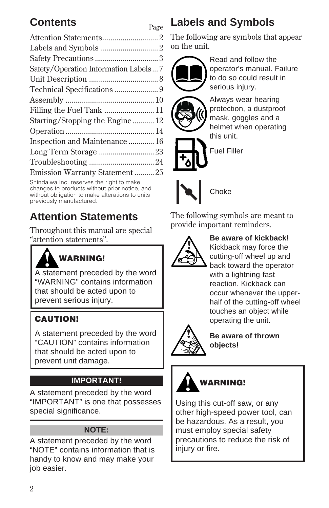### **Contents** Page

| Safety/Operation Information Labels7 |  |
|--------------------------------------|--|
|                                      |  |
|                                      |  |
|                                      |  |
| Filling the Fuel Tank  11            |  |
| Starting/Stopping the Engine12       |  |
|                                      |  |
| Inspection and Maintenance  16       |  |
|                                      |  |
|                                      |  |
| Emission Warranty Statement25        |  |
|                                      |  |

Shindaiwa Inc. reserves the right to make changes to products without prior notice, and without obligation to make alterations to units previously manufactured.

### **Attention Statements**

Throughout this manual are special "attention statements".



### **WARNING!**

A statement preceded by the word "WARNING" contains information that should be acted upon to prevent serious injury.

### **CAUTION!**

A statement preceded by the word "CAUTION" contains information that should be acted upon to prevent unit damage.

### **IMPORTANT!**

A statement preceded by the word "IMPORTANT" is one that possesses special significance.

#### **NOTE:**

A statement preceded by the word "NOTE" contains information that is handy to know and may make your job easier.

### **Labels and Symbols**

The following are symbols that appear on the unit.



Read and follow the operator's manual. Failure to do so could result in serious injury.



Always wear hearing protection, a dustproof mask, goggles and a helmet when operating this unit.

Fuel Filler



The following symbols are meant to provide important reminders.



#### **Be aware of kickback!**

Kickback may force the cutting-off wheel up and back toward the operator with a lightning-fast reaction. Kickback can occur whenever the upperhalf of the cutting-off wheel touches an object while operating the unit.



**Be aware of thrown objects!**



Using this cut-off saw, or any other high-speed power tool, can be hazardous. As a result, you must employ special safety precautions to reduce the risk of injury or fire.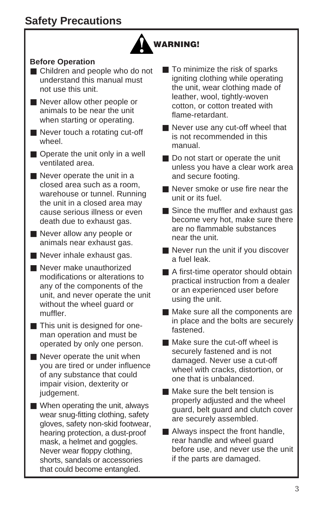

#### **Before Operation**

- Children and people who do not understand this manual must not use this unit.
- Never allow other people or animals to be near the unit when starting or operating.
- Never touch a rotating cut-off wheel.
- Operate the unit only in a well ventilated area.
- Never operate the unit in a closed area such as a room, warehouse or tunnel. Running the unit in a closed area may cause serious illness or even death due to exhaust gas.
- Never allow any people or animals near exhaust gas.
- Never inhale exhaust gas.
- Never make unauthorized modifications or alterations to any of the components of the unit, and never operate the unit without the wheel guard or muffler.
- This unit is designed for oneman operation and must be operated by only one person.
- Never operate the unit when you are tired or under influence of any substance that could impair vision, dexterity or judgement.
- When operating the unit, always wear snug-fitting clothing, safety gloves, safety non-skid footwear, hearing protection, a dust-proof mask, a helmet and goggles. Never wear floppy clothing, shorts, sandals or accessories that could become entangled.
- To minimize the risk of sparks igniting clothing while operating the unit, wear clothing made of leather, wool, tightly-woven cotton, or cotton treated with flame-retardant.
- Never use any cut-off wheel that is not recommended in this manual.
- Do not start or operate the unit unless you have a clear work area and secure footing.
- Never smoke or use fire near the unit or its fuel.
- Since the muffler and exhaust gas become very hot, make sure there are no flammable substances near the unit.
- Never run the unit if you discover a fuel leak.
- A first-time operator should obtain practical instruction from a dealer or an experienced user before using the unit.
- Make sure all the components are in place and the bolts are securely fastened.
- Make sure the cut-off wheel is securely fastened and is not damaged. Never use a cut-off wheel with cracks, distortion, or one that is unbalanced.
- Make sure the belt tension is properly adjusted and the wheel guard, belt guard and clutch cover are securely assembled.
- Always inspect the front handle, rear handle and wheel guard before use, and never use the unit if the parts are damaged.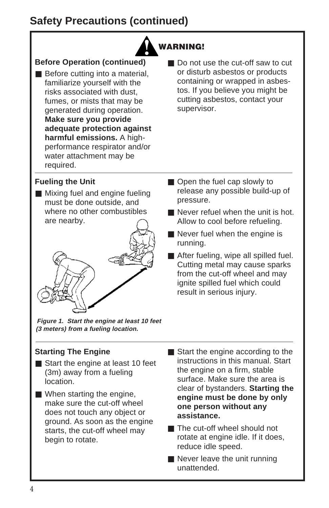### **Safety Precautions (continued)**

### **WARNING!**

### **Before Operation (continued)**

- Before cutting into a material, familiarize yourself with the risks associated with dust, fumes, or mists that may be generated during operation. **Make sure you provide adequate protection against harmful emissions.** A highperformance respirator and/or water attachment may be required.
- Do not use the cut-off saw to cut or disturb asbestos or products containing or wrapped in asbestos. If you believe you might be cutting asbestos, contact your supervisor.

#### **Fueling the Unit**

■ Mixing fuel and engine fueling must be done outside, and where no other combustibles are nearby.

$$
\frac{1}{\left(\frac{1}{\sqrt{2}}\right)^{2}}\left(\frac{1}{\sqrt{2}}\right)^{2}
$$

**Figure 1. Start the engine at least 10 feet (3 meters) from a fueling location.**

### **Starting The Engine**

- Start the engine at least 10 feet (3m) away from a fueling location.
- When starting the engine, make sure the cut-off wheel does not touch any object or ground. As soon as the engine starts, the cut-off wheel may begin to rotate.
- Open the fuel cap slowly to release any possible build-up of pressure.
- Never refuel when the unit is hot. Allow to cool before refueling.
- Never fuel when the engine is running.
- After fueling, wipe all spilled fuel. Cutting metal may cause sparks from the cut-off wheel and may ignite spilled fuel which could result in serious injury.
- Start the engine according to the instructions in this manual. Start the engine on a firm, stable surface. Make sure the area is clear of bystanders. **Starting the engine must be done by only one person without any assistance.**
- The cut-off wheel should not rotate at engine idle. If it does, reduce idle speed.
- Never leave the unit running unattended.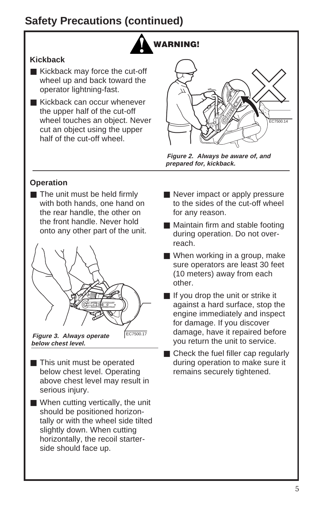### **Safety Precautions (continued)**



#### **Kickback**

- Kickback may force the cut-off wheel up and back toward the operator lightning-fast.
- Kickback can occur whenever the upper half of the cut-off wheel touches an object. Never cut an object using the upper half of the cut-off wheel.



**Figure 2. Always be aware of, and prepared for, kickback.**

#### **Operation**

■ The unit must be held firmly with both hands, one hand on the rear handle, the other on the front handle. Never hold onto any other part of the unit.



**Figure 3. Always operate below chest level.**

- This unit must be operated below chest level. Operating above chest level may result in serious injury.
- When cutting vertically, the unit should be positioned horizontally or with the wheel side tilted slightly down. When cutting horizontally, the recoil starterside should face up.
- Never impact or apply pressure to the sides of the cut-off wheel for any reason.
- Maintain firm and stable footing during operation. Do not overreach.
- When working in a group, make sure operators are least 30 feet (10 meters) away from each other.
- If you drop the unit or strike it against a hard surface, stop the engine immediately and inspect for damage. If you discover damage, have it repaired before you return the unit to service.
- Check the fuel filler cap regularly during operation to make sure it remains securely tightened.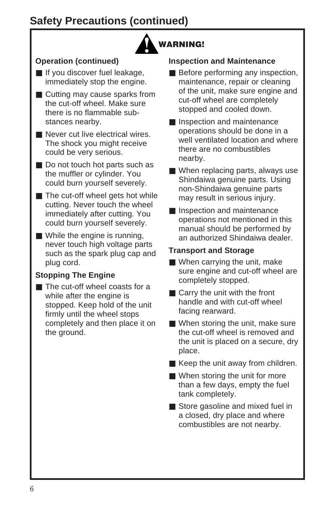### **Safety Precautions (continued)**



### **Operation (continued)**

- If you discover fuel leakage, immediately stop the engine.
- Cutting may cause sparks from the cut-off wheel. Make sure there is no flammable substances nearby.
- Never cut live electrical wires. The shock you might receive could be very serious.
- Do not touch hot parts such as the muffler or cylinder. You could burn yourself severely.
- The cut-off wheel gets hot while cutting. Never touch the wheel immediately after cutting. You could burn yourself severely.
- While the engine is running, never touch high voltage parts such as the spark plug cap and plug cord.

### **Stopping The Engine**

■ The cut-off wheel coasts for a while after the engine is stopped. Keep hold of the unit firmly until the wheel stops completely and then place it on the ground.

#### **Inspection and Maintenance**

- Before performing any inspection, maintenance, repair or cleaning of the unit, make sure engine and cut-off wheel are completely stopped and cooled down.
- Inspection and maintenance operations should be done in a well ventilated location and where there are no combustibles nearby.
- When replacing parts, always use Shindaiwa genuine parts. Using non-Shindaiwa genuine parts may result in serious injury.
- Inspection and maintenance operations not mentioned in this manual should be performed by an authorized Shindaiwa dealer.

### **Transport and Storage**

- When carrying the unit, make sure engine and cut-off wheel are completely stopped.
- Carry the unit with the front handle and with cut-off wheel facing rearward.
- When storing the unit, make sure the cut-off wheel is removed and the unit is placed on a secure, dry place.
- Keep the unit away from children.
- When storing the unit for more than a few days, empty the fuel tank completely.
- Store gasoline and mixed fuel in a closed, dry place and where combustibles are not nearby.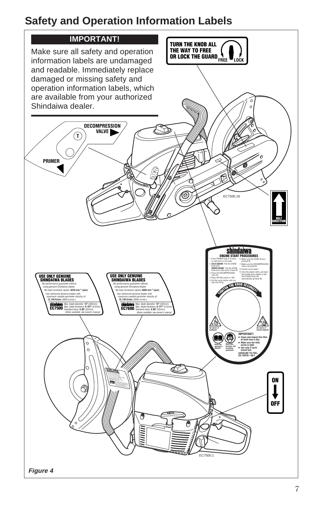### **Safety and Operation Information Labels**

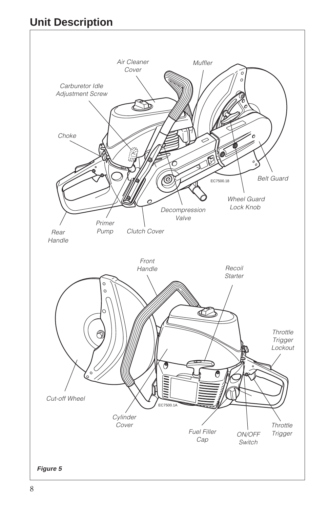### **Unit Description**

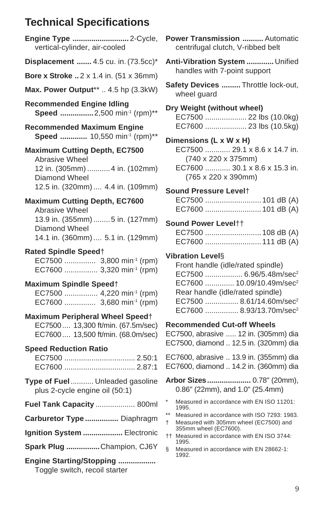### **Technical Specifications**

| Engine Type  2-Cycle,<br>vertical-cylinder, air-cooled                                                                                          |
|-------------------------------------------------------------------------------------------------------------------------------------------------|
| Displacement  4.5 cu. in. (73.5cc)*                                                                                                             |
| Bore x Stroke 2 x 1.4 in. (51 x 36mm)                                                                                                           |
| Max. Power Output**  4.5 hp (3.3kW)                                                                                                             |
| <b>Recommended Engine Idling</b><br>Speed 2,500 min <sup>-1</sup> (rpm)**                                                                       |
| <b>Recommended Maximum Engine</b><br>Speed  10,550 min-1 (rpm)**                                                                                |
| <b>Maximum Cutting Depth, EC7500</b><br>Abrasive Wheel<br>12 in. (305mm)  4 in. (102mm)<br>Diamond Wheel<br>12.5 in. (320mm)  4.4 in. (109mm)   |
| <b>Maximum Cutting Depth, EC7600</b><br>Abrasive Wheel<br>13.9 in. (355mm)  5 in. (127mm)<br>Diamond Wheel<br>14.1 in. (360mm)  5.1 in. (129mm) |
| <b>Rated Spindle Speed</b> †<br>EC7500  3,800 min-1 (rpm)<br>EC7600  3,320 min-1 (rpm)                                                          |
| <b>Maximum Spindle Speed</b> †<br>EC7500  4,220 min <sup>-1</sup> (rpm)<br>EC7600  3,680 min <sup>-1</sup> (rpm)                                |
| Maximum Peripheral Wheel Speed†<br>EC7500 13,300 ft/min. (67.5m/sec)<br>EC7600 13,500 ft/min. (68.0m/sec)                                       |
| <b>Speed Reduction Ratio</b><br>EC7500  2.50:1                                                                                                  |
| Type of Fuel  Unleaded gasoline<br>plus 2-cycle engine oil (50:1)                                                                               |
| <b>Fuel Tank Capacity  800ml</b>                                                                                                                |
| Carburetor Type  Diaphragm                                                                                                                      |
| Ignition System  Electronic                                                                                                                     |
| Spark Plug Champion, CJ6Y                                                                                                                       |
| Engine Starting/Stopping<br>Toggle switch, recoil starter                                                                                       |

**Power Transmission ..........** Automatic centrifugal clutch, V-ribbed belt

**Anti-Vibration System .............** Unified handles with 7-point support

**Safety Devices .........** Throttle lock-out, wheel guard

**Dry Weight (without wheel)** EC7500 .................... 22 lbs (10.0kg) EC7600 .................... 23 lbs (10.5kg)

**Dimensions (L x W x H)**

EC7500 ............ 29.1 x 8.6 x 14.7 in. (740 x 220 x 375mm)

EC7600 ............ 30.1 x 8.6 x 15.3 in. (765 x 220 x 390mm)

**Sound Pressure Level**†

| EC7500  101 dB (A) |  |
|--------------------|--|
|                    |  |

#### **Sound Power Level**††

#### **Vibration Level**§

| Front handle (idle/rated spindle) |                                       |  |  |  |
|-----------------------------------|---------------------------------------|--|--|--|
|                                   | EC7500  6.96/5.48m/sec <sup>2</sup>   |  |  |  |
|                                   | EC7600  10.09/10.49m/sec <sup>2</sup> |  |  |  |
|                                   | Rear handle (idle/rated spindle)      |  |  |  |
|                                   | EC7500  8.61/14.60m/sec <sup>2</sup>  |  |  |  |
|                                   | EC7600  8.93/13.70m/sec <sup>2</sup>  |  |  |  |

#### **Recommended Cut-off Wheels**

EC7500, abrasive ..... 12 in. (305mm) dia EC7500, diamond .. 12.5 in. (320mm) dia

EC7600, abrasive .. 13.9 in. (355mm) dia EC7600, diamond .. 14.2 in. (360mm) dia

**Arbor Sizes.....................** 0.78" (20mm), 0.86" (22mm), and 1.0" (25.4mm)

- Measured in accordance with EN ISO 11201: 1995.
- \*\* Measured in accordance with ISO 7293: 1983.
- † Measured with 305mm wheel (EC7500) and 355mm wheel (EC7600).
- †† Measured in accordance with EN ISO 3744: 1995.
- § Measured in accordance with EN 28662-1: 1992.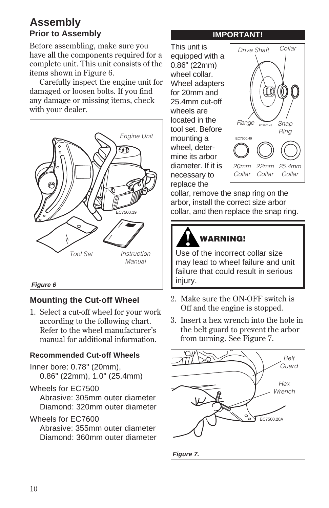### **Assembly Prior to Assembly**

Before assembling, make sure you have all the components required for a complete unit. This unit consists of the items shown in Figure 6.

Carefully inspect the engine unit for damaged or loosen bolts. If you find any damage or missing items, check with your dealer.



### **Mounting the Cut-off Wheel**

1. Select a cut-off wheel for your work according to the following chart. Refer to the wheel manufacturer's manual for additional information.

### **Recommended Cut-off Wheels**

- Inner bore: 0.78" (20mm), 0.86" (22mm), 1.0" (25.4mm)
- Wheels for EC7500 Abrasive: 305mm outer diameter Diamond: 320mm outer diameter

### Wheels for EC7600

Abrasive: 355mm outer diameter Diamond: 360mm outer diameter

#### **IMPORTANT!**

This unit is equipped with a 0.86" (22mm) wheel collar. Wheel adapters for 20mm and 25.4mm cut-off wheels are located in the tool set. Before mounting a wheel, determine its arbor diameter. If it is necessary to replace the



collar, remove the snap ring on the arbor, install the correct size arbor collar, and then replace the snap ring.



### **WARNING!**

Use of the incorrect collar size may lead to wheel failure and unit failure that could result in serious injury.

- 2. Make sure the ON-OFF switch is Off and the engine is stopped.
- 3. Insert a hex wrench into the hole in the belt guard to prevent the arbor from turning. See Figure 7.

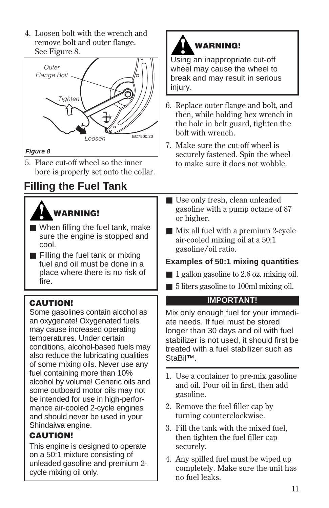4. Loosen bolt with the wrench and remove bolt and outer flange. See Figure 8.



5. Place cut-off wheel so the inner bore is properly set onto the collar.

### **Filling the Fuel Tank**

## **WARNING!**

- When filling the fuel tank, make sure the engine is stopped and cool.
- Filling the fuel tank or mixing fuel and oil must be done in a place where there is no risk of fire.

### **CAUTION!**

Some gasolines contain alcohol as an oxygenate! Oxygenated fuels may cause increased operating temperatures. Under certain conditions, alcohol-based fuels may also reduce the lubricating qualities of some mixing oils. Never use any fuel containing more than 10% alcohol by volume! Generic oils and some outboard motor oils may not be intended for use in high-performance air-cooled 2-cycle engines and should never be used in your Shindaiwa engine.

### **CAUTION!**

This engine is designed to operate on a 50:1 mixture consisting of unleaded gasoline and premium 2 cycle mixing oil only.



Using an inappropriate cut-off wheel may cause the wheel to break and may result in serious injury.

- 6. Replace outer flange and bolt, and then, while holding hex wrench in the hole in belt guard, tighten the bolt with wrench.
- 7. Make sure the cut-off wheel is securely fastened. Spin the wheel to make sure it does not wobble.
- Use only fresh, clean unleaded gasoline with a pump octane of 87 or higher.
- Mix all fuel with a premium 2-cycle air-cooled mixing oil at a 50:1 gasoline/oil ratio.

### **Examples of 50:1 mixing quantities**

- 1 gallon gasoline to 2.6 oz. mixing oil.
- 5 liters gasoline to 100ml mixing oil.

### **IMPORTANT!**

Mix only enough fuel for your immediate needs. If fuel must be stored longer than 30 days and oil with fuel stabilizer is not used, it should first be treated with a fuel stabilizer such as StaBil™.

- 1. Use a container to pre-mix gasoline and oil. Pour oil in first, then add gasoline.
- 2. Remove the fuel filler cap by turning counterclockwise.
- 3. Fill the tank with the mixed fuel, then tighten the fuel filler cap securely.
- 4. Any spilled fuel must be wiped up completely. Make sure the unit has no fuel leaks.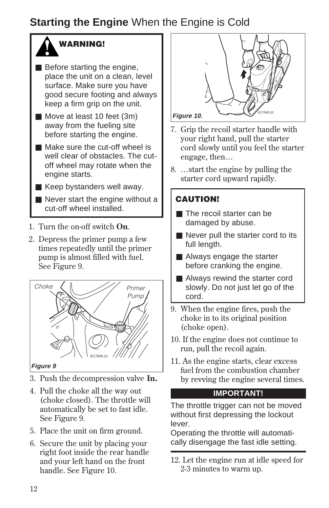### **Starting the Engine** When the Engine is Cold



- Before starting the engine, place the unit on a clean, level surface. Make sure you have good secure footing and always keep a firm grip on the unit.
- Move at least 10 feet (3m) away from the fueling site before starting the engine.
- Make sure the cut-off wheel is well clear of obstacles. The cutoff wheel may rotate when the engine starts.
- Keep bystanders well away.
- Never start the engine without a cut-off wheel installed.
- 1. Turn the on-off switch **On**.
- 2. Depress the primer pump a few times repeatedly until the primer pump is almost filled with fuel. See Figure 9.



#### **Figure 9**

- 3. Push the decompression valve **In.**
- 4. Pull the choke all the way out (choke closed). The throttle will automatically be set to fast idle. See Figure 9.
- 5. Place the unit on firm ground.
- 6. Secure the unit by placing your right foot inside the rear handle and your left hand on the front handle. See Figure 10.



- 7. Grip the recoil starter handle with your right hand, pull the starter cord slowly until you feel the starter engage, then…
- 8. …start the engine by pulling the starter cord upward rapidly.

### **CAUTION!**

- The recoil starter can be damaged by abuse.
- Never pull the starter cord to its full length.
- Always engage the starter before cranking the engine.
- Always rewind the starter cord slowly. Do not just let go of the cord.
- 9. When the engine fires, push the choke in to its original position (choke open).
- 10. If the engine does not continue to run, pull the recoil again.
- 11. As the engine starts, clear excess fuel from the combustion chamber by revving the engine several times.

### **IMPORTANT!**

The throttle trigger can not be moved without first depressing the lockout lever.

Operating the throttle will automatically disengage the fast idle setting.

12. Let the engine run at idle speed for 2-3 minutes to warm up.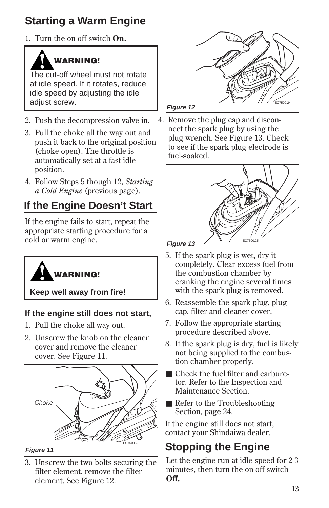### **Starting a Warm Engine**

1. Turn the on-off switch **On.**

### **WARNING!**

The cut-off wheel must not rotate at idle speed. If it rotates, reduce idle speed by adjusting the idle adiust screw.

- 2. Push the decompression valve in.
- 3. Pull the choke all the way out and push it back to the original position (choke open). The throttle is automatically set at a fast idle position.
- 4. Follow Steps 5 though 12, *Starting a Cold Engine* (previous page).

### **If the Engine Doesn't Start**

If the engine fails to start, repeat the appropriate starting procedure for a cold or warm engine.



**Keep well away from fire!**

### **If the engine still does not start,**

- 1. Pull the choke all way out.
- 2. Unscrew the knob on the cleaner cover and remove the cleaner cover. See Figure 11.



3. Unscrew the two bolts securing the filter element, remove the filter element. See Figure 12.



4. Remove the plug cap and disconnect the spark plug by using the plug wrench. See Figure 13. Check to see if the spark plug electrode is fuel-soaked.



- 5. If the spark plug is wet, dry it completely. Clear excess fuel from the combustion chamber by cranking the engine several times with the spark plug is removed.
- 6. Reassemble the spark plug, plug cap, filter and cleaner cover.
- 7. Follow the appropriate starting procedure described above.
- 8. If the spark plug is dry, fuel is likely not being supplied to the combustion chamber properly.
- Check the fuel filter and carburetor. Refer to the Inspection and Maintenance Section.
- Refer to the Troubleshooting Section, page 24.

If the engine still does not start, contact your Shindaiwa dealer.

### **Stopping the Engine**

Let the engine run at idle speed for 2-3 minutes, then turn the on-off switch **Off.**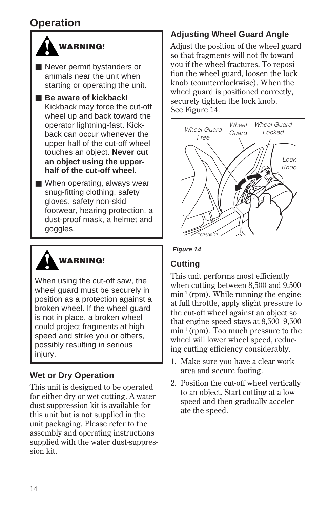### **Operation**



- Never permit bystanders or animals near the unit when starting or operating the unit.
- **Be aware of kickback!** Kickback may force the cut-off wheel up and back toward the operator lightning-fast. Kickback can occur whenever the upper half of the cut-off wheel touches an object. **Never cut an object using the upperhalf of the cut-off wheel.**
- When operating, always wear snug-fitting clothing, safety gloves, safety non-skid footwear, hearing protection, a dust-proof mask, a helmet and goggles.



When using the cut-off saw, the wheel guard must be securely in position as a protection against a broken wheel. If the wheel guard is not in place, a broken wheel could project fragments at high speed and strike you or others, possibly resulting in serious injury.

### **Wet or Dry Operation**

This unit is designed to be operated for either dry or wet cutting. A water dust-suppression kit is available for this unit but is not supplied in the unit packaging. Please refer to the assembly and operating instructions supplied with the water dust-suppression kit.

### **Adjusting Wheel Guard Angle**

Adjust the position of the wheel guard so that fragments will not fly toward you if the wheel fractures. To reposition the wheel guard, loosen the lock knob (counterclockwise). When the wheel guard is positioned correctly, securely tighten the lock knob. See Figure 14.



### **Cutting**

This unit performs most efficiently when cutting between 8,500 and 9,500  $min<sup>-1</sup>$  (rpm). While running the engine at full throttle, apply slight pressure to the cut-off wheel against an object so that engine speed stays at 8,500–9,500 min-1 (rpm). Too much pressure to the wheel will lower wheel speed, reducing cutting efficiency considerably.

- 1. Make sure you have a clear work area and secure footing.
- 2. Position the cut-off wheel vertically to an object. Start cutting at a low speed and then gradually accelerate the speed.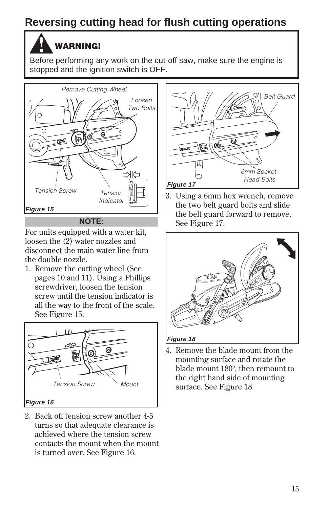### **Reversing cutting head for flush cutting operations**

### **WARNING!**

Before performing any work on the cut-off saw, make sure the engine is stopped and the ignition switch is OFF.



For units equipped with a water kit, loosen the (2) water nozzles and disconnect the main water line from the double nozzle.

1. Remove the cutting wheel (See pages 10 and 11). Using a Phillips screwdriver, loosen the tension screw until the tension indicator is all the way to the front of the scale. See Figure 15.



2. Back off tension screw another 4-5 turns so that adequate clearance is achieved where the tension screw contacts the mount when the mount is turned over. See Figure 16.



3. Using a 6mm hex wrench, remove the two belt guard bolts and slide the belt guard forward to remove. See Figure 17.



4. Remove the blade mount from the mounting surface and rotate the blade mount 180º, then remount to the right hand side of mounting surface. See Figure 18.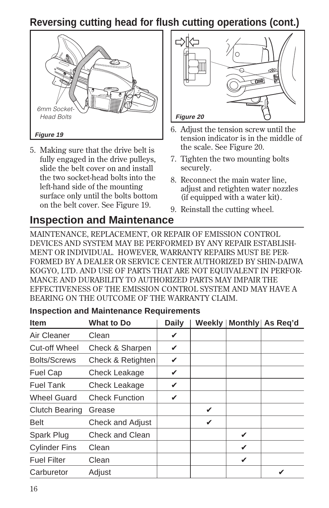### **Reversing cutting head for flush cutting operations (cont.)**



5. Making sure that the drive belt is fully engaged in the drive pulleys, slide the belt cover on and install the two socket-head bolts into the left-hand side of the mounting surface only until the bolts bottom on the belt cover. See Figure 19.



- 6. Adjust the tension screw until the tension indicator is in the middle of the scale. See Figure 20.
- 7. Tighten the two mounting bolts securely.
- 8. Reconnect the main water line, adjust and retighten water nozzles (if equipped with a water kit).
- 9. Reinstall the cutting wheel.

### **Inspection and Maintenance**

MAINTENANCE, REPLACEMENT, OR REPAIR OF EMISSION CONTROL DEVICES AND SYSTEM MAY BE PERFORMED BY ANY REPAIR ESTABLISH-MENT OR INDIVIDUAL. HOWEVER, WARRANTY REPAIRS MUST BE PER-FORMED BY A DEALER OR SERVICE CENTER AUTHORIZED BY SHIN-DAIWA KOGYO, LTD. AND USE OF PARTS THAT ARE NOT EQUIVALENT IN PERFOR-MANCE AND DURABILITY TO AUTHORIZED PARTS MAY IMPAIR THE EFFECTIVENESS OF THE EMISSION CONTROL SYSTEM AND MAY HAVE A BEARING ON THE OUTCOME OF THE WARRANTY CLAIM.

| <b>Item</b>           | <b>What to Do</b>       | <b>Daily</b> | Weekly |   | Monthly As Req'd |
|-----------------------|-------------------------|--------------|--------|---|------------------|
| Air Cleaner           | Clean                   | V            |        |   |                  |
| Cut-off Wheel         | Check & Sharpen         | V            |        |   |                  |
| <b>Bolts/Screws</b>   | Check & Retighten       | V            |        |   |                  |
| <b>Fuel Cap</b>       | Check Leakage           | V            |        |   |                  |
| <b>Fuel Tank</b>      | Check Leakage           | V            |        |   |                  |
| <b>Wheel Guard</b>    | <b>Check Function</b>   | ✓            |        |   |                  |
| <b>Clutch Bearing</b> | Grease                  |              | V      |   |                  |
| <b>Belt</b>           | <b>Check and Adjust</b> |              | V      |   |                  |
| Spark Plug            | Check and Clean         |              |        | V |                  |
| <b>Cylinder Fins</b>  | Clean                   |              |        | V |                  |
| <b>Fuel Filter</b>    | Clean                   |              |        | V |                  |
| Carburetor            | Adjust                  |              |        |   | V                |

### **Inspection and Maintenance Requirements**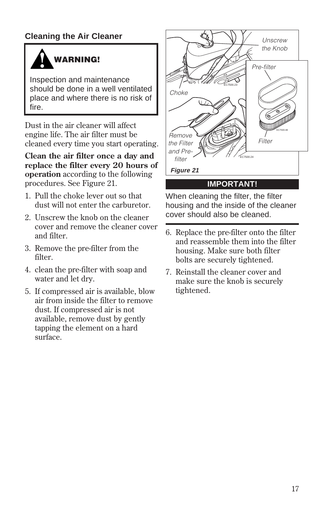### **Cleaning the Air Cleaner**



Inspection and maintenance should be done in a well ventilated place and where there is no risk of fire.

Dust in the air cleaner will affect engine life. The air filter must be cleaned every time you start operating.

**Clean the air filter once a day and replace the filter every 20 hours of operation** according to the following procedures. See Figure 21.

- 1. Pull the choke lever out so that dust will not enter the carburetor.
- 2. Unscrew the knob on the cleaner cover and remove the cleaner cover and filter.
- 3. Remove the pre-filter from the filter.
- 4. clean the pre-filter with soap and water and let dry.
- 5. If compressed air is available, blow air from inside the filter to remove dust. If compressed air is not available, remove dust by gently tapping the element on a hard surface.



When cleaning the filter, the filter housing and the inside of the cleaner cover should also be cleaned.

- 6. Replace the pre-filter onto the filter and reassemble them into the filter housing. Make sure both filter bolts are securely tightened.
- 7. Reinstall the cleaner cover and make sure the knob is securely tightened.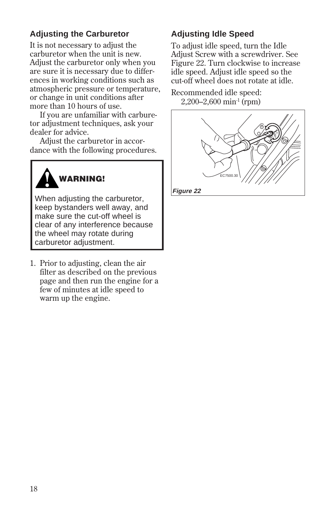### **Adjusting the Carburetor Adjusting Idle Speed**

It is not necessary to adjust the carburetor when the unit is new. Adjust the carburetor only when you are sure it is necessary due to differences in working conditions such as atmospheric pressure or temperature, or change in unit conditions after more than 10 hours of use.

If you are unfamiliar with carburetor adjustment techniques, ask your dealer for advice.

Adjust the carburetor in accordance with the following procedures.



When adjusting the carburetor, keep bystanders well away, and make sure the cut-off wheel is clear of any interference because the wheel may rotate during carburetor adjustment.

1. Prior to adjusting, clean the air filter as described on the previous page and then run the engine for a few of minutes at idle speed to warm up the engine.

To adjust idle speed, turn the Idle Adjust Screw with a screwdriver. See Figure 22. Turn clockwise to increase idle speed. Adjust idle speed so the cut-off wheel does not rotate at idle.

Recommended idle speed: 2,200–2,600 min-1 (rpm)



**Figure 22**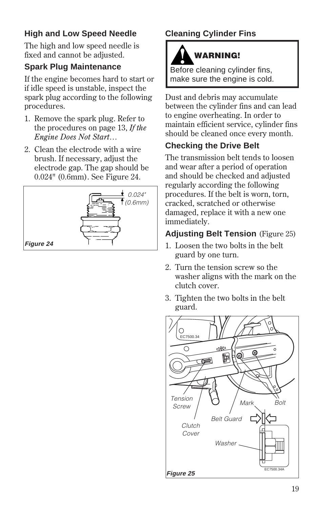### **High and Low Speed Needle**

The high and low speed needle is fixed and cannot be adjusted.

### **Spark Plug Maintenance**

If the engine becomes hard to start or if idle speed is unstable, inspect the spark plug according to the following procedures.

- 1. Remove the spark plug. Refer to the procedures on page 13, *If the Engine Does Not Start…*
- 2. Clean the electrode with a wire brush. If necessary, adjust the electrode gap. The gap should be 0.024" (0.6mm). See Figure 24.



### **Cleaning Cylinder Fins**



Before cleaning cylinder fins, make sure the engine is cold.

Dust and debris may accumulate between the cylinder fins and can lead to engine overheating. In order to maintain efficient service, cylinder fins should be cleaned once every month.

### **Checking the Drive Belt**

The transmission belt tends to loosen and wear after a period of operation and should be checked and adjusted regularly according the following procedures. If the belt is worn, torn, cracked, scratched or otherwise damaged, replace it with a new one immediately.

### **Adjusting Belt Tension** (Figure 25)

- 1. Loosen the two bolts in the belt guard by one turn.
- 2. Turn the tension screw so the washer aligns with the mark on the clutch cover.
- 3. Tighten the two bolts in the belt guard.

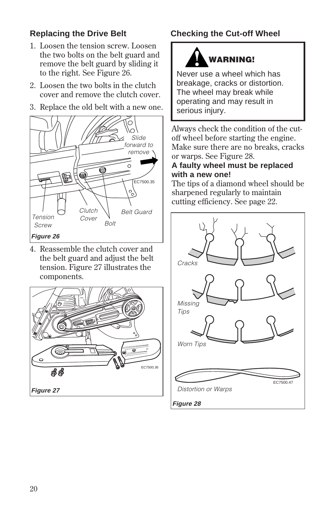### **Replacing the Drive Belt**

- 1. Loosen the tension screw. Loosen the two bolts on the belt guard and remove the belt guard by sliding it to the right. See Figure 26.
- 2. Loosen the two bolts in the clutch cover and remove the clutch cover.
- 3. Replace the old belt with a new one.



4. Reassemble the clutch cover and the belt guard and adjust the belt tension. Figure 27 illustrates the components.



### **Checking the Cut-off Wheel**



Never use a wheel which has breakage, cracks or distortion. The wheel may break while operating and may result in serious injury.

Always check the condition of the cutoff wheel before starting the engine. Make sure there are no breaks, cracks or warps. See Figure 28.

#### **A faulty wheel must be replaced with a new one!**

The tips of a diamond wheel should be sharpened regularly to maintain cutting efficiency. See page 22.

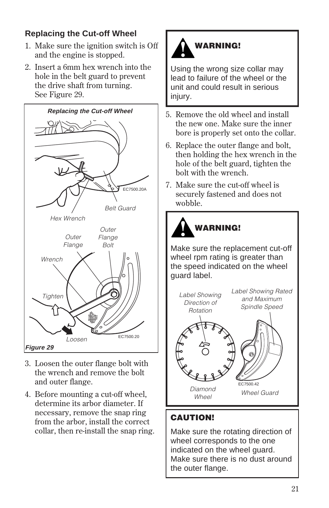### **Replacing the Cut-off Wheel**

- 1. Make sure the ignition switch is Off and the engine is stopped.
- 2. Insert a 6mm hex wrench into the hole in the belt guard to prevent the drive shaft from turning. See Figure 29.



- 3. Loosen the outer flange bolt with the wrench and remove the bolt and outer flange.
- 4. Before mounting a cut-off wheel, determine its arbor diameter. If necessary, remove the snap ring from the arbor, install the correct collar, then re-install the snap ring.



Using the wrong size collar may lead to failure of the wheel or the unit and could result in serious injury.

- 5. Remove the old wheel and install the new one. Make sure the inner bore is properly set onto the collar.
- 6. Replace the outer flange and bolt, then holding the hex wrench in the hole of the belt guard, tighten the bolt with the wrench.
- 7. Make sure the cut-off wheel is securely fastened and does not wobble.



Make sure the replacement cut-off wheel rpm rating is greater than the speed indicated on the wheel guard label.



### **CAUTION!**

Make sure the rotating direction of wheel corresponds to the one indicated on the wheel guard. Make sure there is no dust around the outer flange.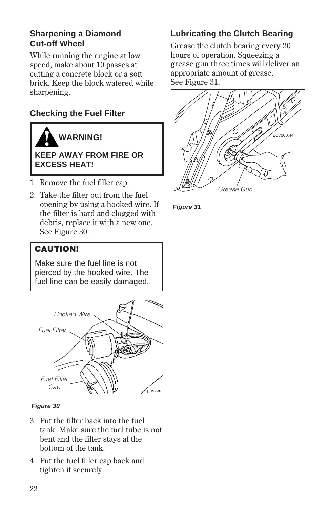### **Sharpening a Diamond Cut-off Wheel**

While running the engine at low speed, make about 10 passes at cutting a concrete block or a soft brick. Keep the block watered while sharpening.

### **Checking the Fuel Filter**



#### **KEEP AWAY FROM FIRE OR EXCESS HEAT!**

- 1. Remove the fuel filler cap.
- 2. Take the filter out from the fuel opening by using a hooked wire. If the filter is hard and clogged with debris, replace it with a new one. See Figure 30.

### **CAUTION!**

Make sure the fuel line is not pierced by the hooked wire. The fuel line can be easily damaged.



- 3. Put the filter back into the fuel tank. Make sure the fuel tube is not bent and the filter stays at the bottom of the tank.
- 4. Put the fuel filler cap back and tighten it securely.

### **Lubricating the Clutch Bearing**

Grease the clutch bearing every 20 hours of operation. Squeezing a grease gun three times will deliver an appropriate amount of grease. See Figure 31.

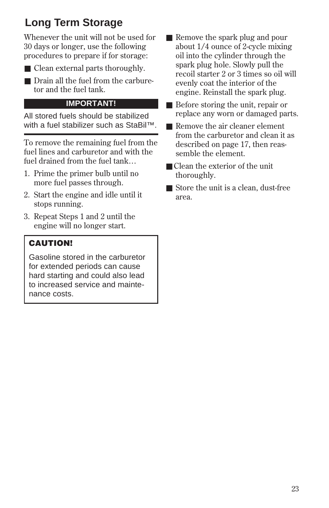### **Long Term Storage**

Whenever the unit will not be used for 30 days or longer, use the following procedures to prepare if for storage:

- 
- Clean external parts thoroughly.
- Drain all the fuel from the carburetor and the fuel tank.

#### **IMPORTANT!**

All stored fuels should be stabilized with a fuel stabilizer such as StaBil™.

To remove the remaining fuel from the fuel lines and carburetor and with the fuel drained from the fuel tank…

- 1. Prime the primer bulb until no more fuel passes through.
- 2. Start the engine and idle until it stops running.
- 3. Repeat Steps 1 and 2 until the engine will no longer start.

### **CAUTION!**

Gasoline stored in the carburetor for extended periods can cause hard starting and could also lead to increased service and maintenance costs.

- Remove the spark plug and pour about 1/4 ounce of 2-cycle mixing oil into the cylinder through the spark plug hole. Slowly pull the recoil starter 2 or 3 times so oil will evenly coat the interior of the engine. Reinstall the spark plug.
- Before storing the unit, repair or replace any worn or damaged parts.
- Remove the air cleaner element from the carburetor and clean it as described on page 17, then reassemble the element.
- Clean the exterior of the unit thoroughly.
- Store the unit is a clean, dust-free area.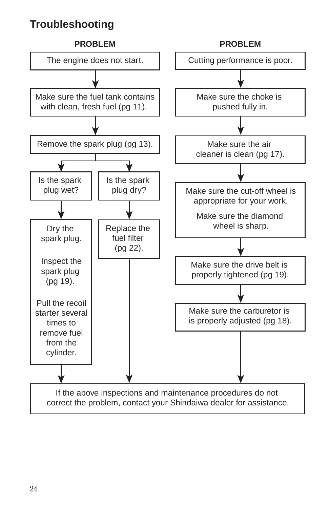### **Troubleshooting**

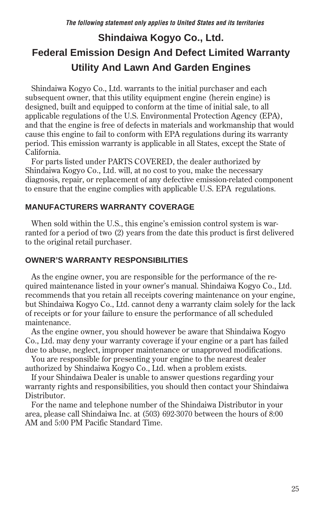### **Shindaiwa Kogyo Co., Ltd. Federal Emission Design And Defect Limited Warranty Utility And Lawn And Garden Engines**

 Shindaiwa Kogyo Co., Ltd. warrants to the initial purchaser and each subsequent owner, that this utility equipment engine (herein engine) is designed, built and equipped to conform at the time of initial sale, to all applicable regulations of the U.S. Environmental Protection Agency (EPA), and that the engine is free of defects in materials and workmanship that would cause this engine to fail to conform with EPA regulations during its warranty period. This emission warranty is applicable in all States, except the State of California.

 For parts listed under PARTS COVERED, the dealer authorized by Shindaiwa Kogyo Co., Ltd. will, at no cost to you, make the necessary diagnosis, repair, or replacement of any defective emission-related component to ensure that the engine complies with applicable U.S. EPA regulations.

#### **MANUFACTURERS WARRANTY COVERAGE**

 When sold within the U.S., this engine's emission control system is warranted for a period of two (2) years from the date this product is first delivered to the original retail purchaser.

#### **OWNER'S WARRANTY RESPONSIBILITIES**

 As the engine owner, you are responsible for the performance of the required maintenance listed in your owner's manual. Shindaiwa Kogyo Co., Ltd. recommends that you retain all receipts covering maintenance on your engine, but Shindaiwa Kogyo Co., Ltd. cannot deny a warranty claim solely for the lack of receipts or for your failure to ensure the performance of all scheduled maintenance.

 As the engine owner, you should however be aware that Shindaiwa Kogyo Co., Ltd. may deny your warranty coverage if your engine or a part has failed due to abuse, neglect, improper maintenance or unapproved modifications.

 You are responsible for presenting your engine to the nearest dealer authorized by Shindaiwa Kogyo Co., Ltd. when a problem exists.

 If your Shindaiwa Dealer is unable to answer questions regarding your warranty rights and responsibilities, you should then contact your Shindaiwa Distributor.

 For the name and telephone number of the Shindaiwa Distributor in your area, please call Shindaiwa Inc. at (503) 692-3070 between the hours of 8:00 AM and 5:00 PM Pacific Standard Time.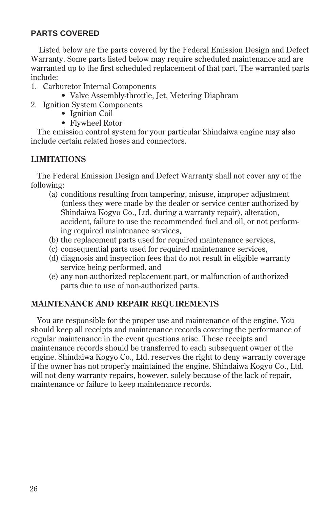#### **PARTS COVERED**

Listed below are the parts covered by the Federal Emission Design and Defect Warranty. Some parts listed below may require scheduled maintenance and are warranted up to the first scheduled replacement of that part. The warranted parts include:

- 1. Carburetor Internal Components
	- Valve Assembly-throttle, Jet, Metering Diaphram
- 2. Ignition System Components
	- Ignition Coil
	- Flywheel Rotor

 The emission control system for your particular Shindaiwa engine may also include certain related hoses and connectors.

#### **LIMITATIONS**

 The Federal Emission Design and Defect Warranty shall not cover any of the following:

- (a) conditions resulting from tampering, misuse, improper adjustment (unless they were made by the dealer or service center authorized by Shindaiwa Kogyo Co., Ltd. during a warranty repair), alteration, accident, failure to use the recommended fuel and oil, or not performing required maintenance services,
- (b) the replacement parts used for required maintenance services,
- (c) consequential parts used for required maintenance services,
- (d) diagnosis and inspection fees that do not result in eligible warranty service being performed, and
- (e) any non-authorized replacement part, or malfunction of authorized parts due to use of non-authorized parts.

#### **MAINTENANCE AND REPAIR REQUIREMENTS**

 You are responsible for the proper use and maintenance of the engine. You should keep all receipts and maintenance records covering the performance of regular maintenance in the event questions arise. These receipts and maintenance records should be transferred to each subsequent owner of the engine. Shindaiwa Kogyo Co., Ltd. reserves the right to deny warranty coverage if the owner has not properly maintained the engine. Shindaiwa Kogyo Co., Ltd. will not deny warranty repairs, however, solely because of the lack of repair, maintenance or failure to keep maintenance records.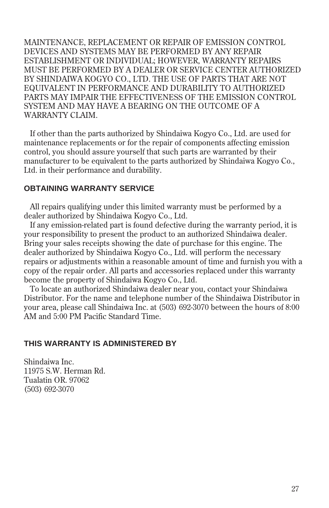MAINTENANCE, REPLACEMENT OR REPAIR OF EMISSION CONTROL DEVICES AND SYSTEMS MAY BE PERFORMED BY ANY REPAIR ESTABLISHMENT OR INDIVIDUAL; HOWEVER, WARRANTY REPAIRS MUST BE PERFORMED BY A DEALER OR SERVICE CENTER AUTHORIZED BY SHINDAIWA KOGYO CO., LTD. THE USE OF PARTS THAT ARE NOT EQUIVALENT IN PERFORMANCE AND DURABILITY TO AUTHORIZED PARTS MAY IMPAIR THE EFFECTIVENESS OF THE EMISSION CONTROL SYSTEM AND MAY HAVE A BEARING ON THE OUTCOME OF A WARRANTY CLAIM.

 If other than the parts authorized by Shindaiwa Kogyo Co., Ltd. are used for maintenance replacements or for the repair of components affecting emission control, you should assure yourself that such parts are warranted by their manufacturer to be equivalent to the parts authorized by Shindaiwa Kogyo Co., Ltd. in their performance and durability.

#### **OBTAINING WARRANTY SERVICE**

 All repairs qualifying under this limited warranty must be performed by a dealer authorized by Shindaiwa Kogyo Co., Ltd.

 If any emission-related part is found defective during the warranty period, it is your responsibility to present the product to an authorized Shindaiwa dealer. Bring your sales receipts showing the date of purchase for this engine. The dealer authorized by Shindaiwa Kogyo Co., Ltd. will perform the necessary repairs or adjustments within a reasonable amount of time and furnish you with a copy of the repair order. All parts and accessories replaced under this warranty become the property of Shindaiwa Kogyo Co., Ltd.

 To locate an authorized Shindaiwa dealer near you, contact your Shindaiwa Distributor. For the name and telephone number of the Shindaiwa Distributor in your area, please call Shindaiwa Inc. at (503) 692-3070 between the hours of 8:00 AM and 5:00 PM Pacific Standard Time.

#### **THIS WARRANTY IS ADMINISTERED BY**

Shindaiwa Inc. 11975 S.W. Herman Rd. Tualatin OR. 97062 (503) 692-3070